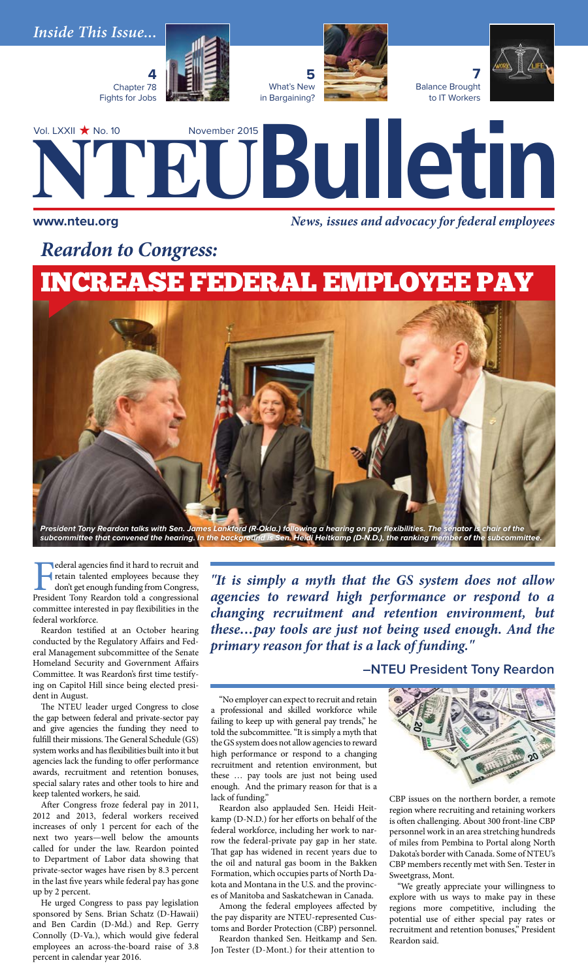

**I** ederal agencies find it hard to recruit and retain talented employees because they don't get enough funding from Congress, President Tony Reardon told a congressional committee interested in pay flexibilities in the federal workforce.

Reardon testified at an October hearing conducted by the Regulatory Affairs and Federal Management subcommittee of the Senate Homeland Security and Government Affairs Committee. It was Reardon's first time testifying on Capitol Hill since being elected president in August.

The NTEU leader urged Congress to close the gap between federal and private-sector pay and give agencies the funding they need to fulfill their missions. The General Schedule (GS) system works and has flexibilities built into it but agencies lack the funding to offer performance awards, recruitment and retention bonuses, special salary rates and other tools to hire and keep talented workers, he said.

After Congress froze federal pay in 2011, 2012 and 2013, federal workers received increases of only 1 percent for each of the next two years—well below the amounts called for under the law. Reardon pointed to Department of Labor data showing that private-sector wages have risen by 8.3 percent in the last five years while federal pay has gone up by 2 percent.

He urged Congress to pass pay legislation sponsored by Sens. Brian Schatz (D-Hawaii) and Ben Cardin (D-Md.) and Rep. Gerry Connolly (D-Va.), which would give federal employees an across-the-board raise of 3.8 percent in calendar year 2016.

*"It is simply a myth that the GS system does not allow agencies to reward high performance or respond to a changing recruitment and retention environment, but these…pay tools are just not being used enough. And the primary reason for that is a lack of funding."* 

**–NTEU President Tony Reardon**

"No employer can expect to recruit and retain a professional and skilled workforce while failing to keep up with general pay trends," he told the subcommittee. "It is simply a myth that the GS system does not allow agencies to reward high performance or respond to a changing recruitment and retention environment, but these … pay tools are just not being used enough. And the primary reason for that is a lack of funding."

*President Tony Reardon talks with Sen. James Lankford (R-Okla.) following a hearing on pay flexibilities. The senator is chair of the subcommittee that convened the hearing. In the background is Sen. Heidi Heitkamp (D-N.D.), the ranking member of the subcommittee.*

> Reardon also applauded Sen. Heidi Heitkamp (D-N.D.) for her efforts on behalf of the federal workforce, including her work to narrow the federal-private pay gap in her state. That gap has widened in recent years due to the oil and natural gas boom in the Bakken Formation, which occupies parts of North Dakota and Montana in the U.S. and the provinces of Manitoba and Saskatchewan in Canada.

> Among the federal employees affected by the pay disparity are NTEU-represented Customs and Border Protection (CBP) personnel.

> Reardon thanked Sen. Heitkamp and Sen. Jon Tester (D-Mont.) for their attention to



CBP issues on the northern border, a remote region where recruiting and retaining workers is often challenging. About 300 front-line CBP personnel work in an area stretching hundreds of miles from Pembina to Portal along North Dakota's border with Canada. Some of NTEU's CBP members recently met with Sen. Tester in Sweetgrass, Mont.

"We greatly appreciate your willingness to explore with us ways to make pay in these regions more competitive, including the potential use of either special pay rates or recruitment and retention bonuses," President Reardon said.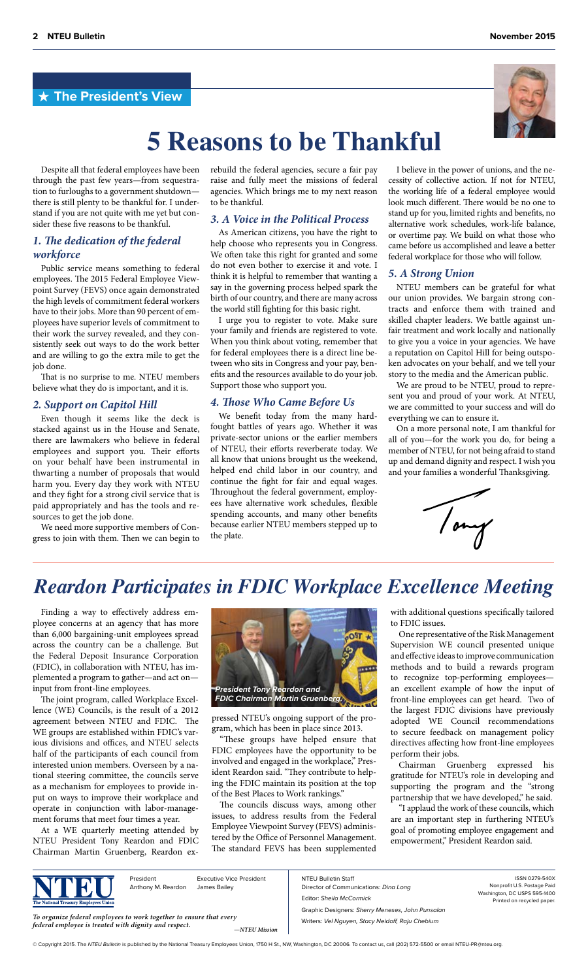# **The President's View**





# **5 Reasons to be Thankful**

Despite all that federal employees have been through the past few years—from sequestration to furloughs to a government shutdown there is still plenty to be thankful for. I understand if you are not quite with me yet but consider these five reasons to be thankful.

# *1. The dedication of the federal workforce*

Public service means something to federal employees. The 2015 Federal Employee Viewpoint Survey (FEVS) once again demonstrated the high levels of commitment federal workers have to their jobs. More than 90 percent of employees have superior levels of commitment to their work the survey revealed, and they consistently seek out ways to do the work better and are willing to go the extra mile to get the job done.

That is no surprise to me. NTEU members believe what they do is important, and it is.

## *2. Support on Capitol Hill*

Even though it seems like the deck is stacked against us in the House and Senate, there are lawmakers who believe in federal employees and support you. Their efforts on your behalf have been instrumental in thwarting a number of proposals that would harm you. Every day they work with NTEU and they fight for a strong civil service that is paid appropriately and has the tools and resources to get the job done.

We need more supportive members of Congress to join with them. Then we can begin to rebuild the federal agencies, secure a fair pay raise and fully meet the missions of federal agencies. Which brings me to my next reason to be thankful.

# *3. A Voice in the Political Process*

As American citizens, you have the right to help choose who represents you in Congress. We often take this right for granted and some do not even bother to exercise it and vote. I think it is helpful to remember that wanting a say in the governing process helped spark the birth of our country, and there are many across the world still fighting for this basic right.

I urge you to register to vote. Make sure your family and friends are registered to vote. When you think about voting, remember that for federal employees there is a direct line between who sits in Congress and your pay, benefits and the resources available to do your job. Support those who support you.

# *4. Those Who Came Before Us*

We benefit today from the many hardfought battles of years ago. Whether it was private-sector unions or the earlier members of NTEU, their efforts reverberate today. We all know that unions brought us the weekend, helped end child labor in our country, and continue the fight for fair and equal wages. Throughout the federal government, employees have alternative work schedules, flexible spending accounts, and many other benefits because earlier NTEU members stepped up to the plate.

I believe in the power of unions, and the necessity of collective action. If not for NTEU, the working life of a federal employee would look much different. There would be no one to stand up for you, limited rights and benefits, no alternative work schedules, work-life balance, or overtime pay. We build on what those who came before us accomplished and leave a better federal workplace for those who will follow.

## *5. A Strong Union*

NTEU members can be grateful for what our union provides. We bargain strong contracts and enforce them with trained and skilled chapter leaders. We battle against unfair treatment and work locally and nationally to give you a voice in your agencies. We have a reputation on Capitol Hill for being outspoken advocates on your behalf, and we tell your story to the media and the American public.

We are proud to be NTEU, proud to represent you and proud of your work. At NTEU, we are committed to your success and will do everything we can to ensure it.

On a more personal note, I am thankful for all of you—for the work you do, for being a member of NTEU, for not being afraid to stand up and demand dignity and respect. I wish you and your families a wonderful Thanksgiving.



# *Reardon Participates in FDIC Workplace Excellence Meeting*

Finding a way to effectively address employee concerns at an agency that has more than 6,000 bargaining-unit employees spread across the country can be a challenge. But the Federal Deposit Insurance Corporation (FDIC), in collaboration with NTEU, has implemented a program to gather—and act on input from front-line employees.

The joint program, called Workplace Excellence (WE) Councils, is the result of a 2012 agreement between NTEU and FDIC. The WE groups are established within FDIC's various divisions and offices, and NTEU selects half of the participants of each council from interested union members. Overseen by a national steering committee, the councils serve as a mechanism for employees to provide input on ways to improve their workplace and operate in conjunction with labor-management forums that meet four times a year.

At a WE quarterly meeting attended by NTEU President Tony Reardon and FDIC Chairman Martin Gruenberg, Reardon ex-



pressed NTEU's ongoing support of the program, which has been in place since 2013.

"These groups have helped ensure that FDIC employees have the opportunity to be involved and engaged in the workplace," President Reardon said. "They contribute to helping the FDIC maintain its position at the top of the Best Places to Work rankings."

The councils discuss ways, among other issues, to address results from the Federal Employee Viewpoint Survey (FEVS) administered by the Office of Personnel Management. The standard FEVS has been supplemented

with additional questions specifically tailored to FDIC issues.

One representative of the Risk Management Supervision WE council presented unique and effective ideas to improve communication methods and to build a rewards program to recognize top-performing employees an excellent example of how the input of front-line employees can get heard. Two of the largest FDIC divisions have previously adopted WE Council recommendations to secure feedback on management policy directives affecting how front-line employees perform their jobs.

Chairman Gruenberg expressed his gratitude for NTEU's role in developing and supporting the program and the "strong partnership that we have developed," he said.

"I applaud the work of these councils, which are an important step in furthering NTEU's goal of promoting employee engagement and empowerment," President Reardon said.

President Anthony M. Reardon Executive Vice President James Bailey

*To organize federal employees to work together to ensure that every federal employee is treated with dignity and respect. —NTEU Mission* NTEU Bulletin Staff Director of Communications: *Dina Long* Editor: *Sheila McCormick* Graphic Designers: *Sherry Meneses, John Punsalan* Writers: *Vel Nguyen, Stacy Neidoff, Raju Chebium*

ISSN 0279-540X Nonprofit U.S. Postage Paid Washington, DC USPS 595-1400 Printed on recycled paper.

© Copyright 2015. The NTEU Bulletin is published by the National Treasury Employees Union, 1750 H St., NW, Washington, DC 20006. To contact us, call (202) 572-5500 or email NTEU-PR@nteu.org.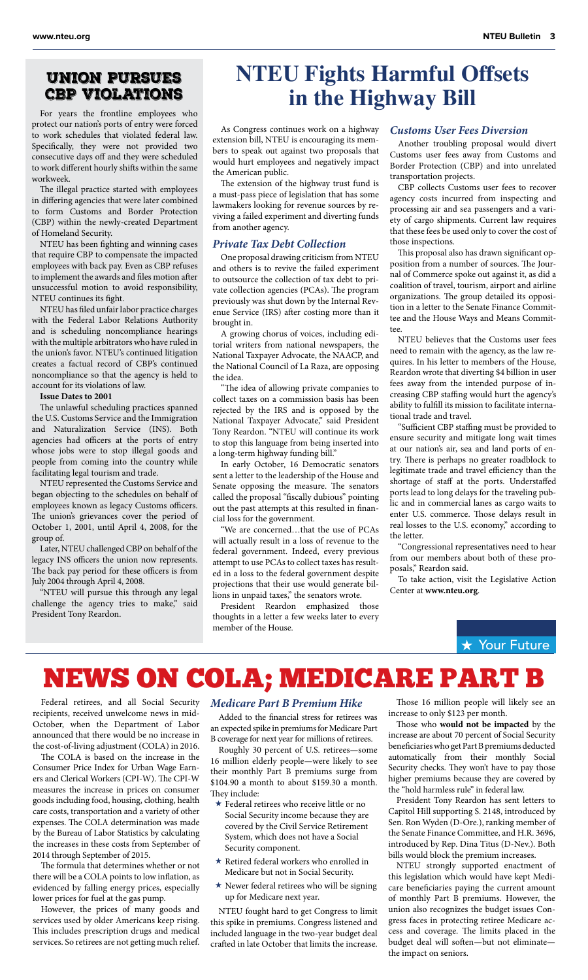# Union Pursues CBP Violations

For years the frontline employees who protect our nation's ports of entry were forced to work schedules that violated federal law. Specifically, they were not provided two consecutive days off and they were scheduled to work different hourly shifts within the same workweek.

The illegal practice started with employees in differing agencies that were later combined to form Customs and Border Protection (CBP) within the newly-created Department of Homeland Security.

NTEU has been fighting and winning cases that require CBP to compensate the impacted employees with back pay. Even as CBP refuses to implement the awards and files motion after unsuccessful motion to avoid responsibility, NTEU continues its fight.

NTEU has filed unfair labor practice charges with the Federal Labor Relations Authority and is scheduling noncompliance hearings with the multiple arbitrators who have ruled in the union's favor. NTEU's continued litigation creates a factual record of CBP's continued noncompliance so that the agency is held to account for its violations of law.

**Issue Dates to 2001**

The unlawful scheduling practices spanned the U.S. Customs Service and the Immigration and Naturalization Service (INS). Both agencies had officers at the ports of entry whose jobs were to stop illegal goods and people from coming into the country while facilitating legal tourism and trade.

NTEU represented the Customs Service and began objecting to the schedules on behalf of employees known as legacy Customs officers. The union's grievances cover the period of October 1, 2001, until April 4, 2008, for the group of.

Later, NTEU challenged CBP on behalf of the legacy INS officers the union now represents. The back pay period for these officers is from July 2004 through April 4, 2008.

"NTEU will pursue this through any legal challenge the agency tries to make," said President Tony Reardon.

# **NTEU Fights Harmful Offsets in the Highway Bill**

As Congress continues work on a highway extension bill, NTEU is encouraging its members to speak out against two proposals that would hurt employees and negatively impact the American public.

The extension of the highway trust fund is a must-pass piece of legislation that has some lawmakers looking for revenue sources by reviving a failed experiment and diverting funds from another agency.

# *Private Tax Debt Collection*

One proposal drawing criticism from NTEU and others is to revive the failed experiment to outsource the collection of tax debt to private collection agencies (PCAs). The program previously was shut down by the Internal Revenue Service (IRS) after costing more than it brought in.

A growing chorus of voices, including editorial writers from national newspapers, the National Taxpayer Advocate, the NAACP, and the National Council of La Raza, are opposing the idea.

"The idea of allowing private companies to collect taxes on a commission basis has been rejected by the IRS and is opposed by the National Taxpayer Advocate," said President Tony Reardon. "NTEU will continue its work to stop this language from being inserted into a long-term highway funding bill."

In early October, 16 Democratic senators sent a letter to the leadership of the House and Senate opposing the measure. The senators called the proposal "fiscally dubious" pointing out the past attempts at this resulted in financial loss for the government.

"We are concerned…that the use of PCAs will actually result in a loss of revenue to the federal government. Indeed, every previous attempt to use PCAs to collect taxes has resulted in a loss to the federal government despite projections that their use would generate billions in unpaid taxes," the senators wrote.

President Reardon emphasized those thoughts in a letter a few weeks later to every member of the House.

# *Customs User Fees Diversion*

Another troubling proposal would divert Customs user fees away from Customs and Border Protection (CBP) and into unrelated transportation projects.

CBP collects Customs user fees to recover agency costs incurred from inspecting and processing air and sea passengers and a variety of cargo shipments. Current law requires that these fees be used only to cover the cost of those inspections.

This proposal also has drawn significant opposition from a number of sources. The Journal of Commerce spoke out against it, as did a coalition of travel, tourism, airport and airline organizations. The group detailed its opposition in a letter to the Senate Finance Committee and the House Ways and Means Committee.

NTEU believes that the Customs user fees need to remain with the agency, as the law requires. In his letter to members of the House, Reardon wrote that diverting \$4 billion in user fees away from the intended purpose of increasing CBP staffing would hurt the agency's ability to fulfill its mission to facilitate international trade and travel.

"Sufficient CBP staffing must be provided to ensure security and mitigate long wait times at our nation's air, sea and land ports of entry. There is perhaps no greater roadblock to legitimate trade and travel efficiency than the shortage of staff at the ports. Understaffed ports lead to long delays for the traveling public and in commercial lanes as cargo waits to enter U.S. commerce. Those delays result in real losses to the U.S. economy," according to the letter.

"Congressional representatives need to hear from our members about both of these proposals," Reardon said.

To take action, visit the Legislative Action Center at **www.nteu.org**.

# **★ Your Future**

# NEWS ON COLA; MEDICARE PART B

Federal retirees, and all Social Security recipients, received unwelcome news in mid-October, when the Department of Labor announced that there would be no increase in the cost-of-living adjustment (COLA) in 2016.

The COLA is based on the increase in the Consumer Price Index for Urban Wage Earners and Clerical Workers (CPI-W). The CPI-W measures the increase in prices on consumer goods including food, housing, clothing, health care costs, transportation and a variety of other expenses. The COLA determination was made by the Bureau of Labor Statistics by calculating the increases in these costs from September of 2014 through September of 2015.

The formula that determines whether or not there will be a COLA points to low inflation, as evidenced by falling energy prices, especially lower prices for fuel at the gas pump.

However, the prices of many goods and services used by older Americans keep rising. This includes prescription drugs and medical services. So retirees are not getting much relief.

#### *Medicare Part B Premium Hike*

Added to the financial stress for retirees was an expected spike in premiums for Medicare Part B coverage for next year for millions of retirees.

Roughly 30 percent of U.S. retirees—some 16 million elderly people—were likely to see their monthly Part B premiums surge from \$104.90 a month to about \$159.30 a month. They include:

- $\star$  Federal retirees who receive little or no Social Security income because they are covered by the Civil Service Retirement System, which does not have a Social Security component.
- $\star$  Retired federal workers who enrolled in Medicare but not in Social Security.
- $\star$  Newer federal retirees who will be signing up for Medicare next year.

NTEU fought hard to get Congress to limit this spike in premiums. Congress listened and included language in the two-year budget deal crafted in late October that limits the increase.

Those 16 million people will likely see an increase to only \$123 per month.

Those who **would not be impacted** by the increase are about 70 percent of Social Security beneficiaries who get Part B premiums deducted automatically from their monthly Social Security checks. They won't have to pay those higher premiums because they are covered by the "hold harmless rule" in federal law.

President Tony Reardon has sent letters to Capitol Hill supporting S. 2148, introduced by Sen. Ron Wyden (D-Ore.), ranking member of the Senate Finance Committee, and H.R. 3696, introduced by Rep. Dina Titus (D-Nev.). Both bills would block the premium increases.

NTEU strongly supported enactment of this legislation which would have kept Medicare beneficiaries paying the current amount of monthly Part B premiums. However, the union also recognizes the budget issues Congress faces in protecting retiree Medicare access and coverage. The limits placed in the budget deal will soften—but not eliminate the impact on seniors.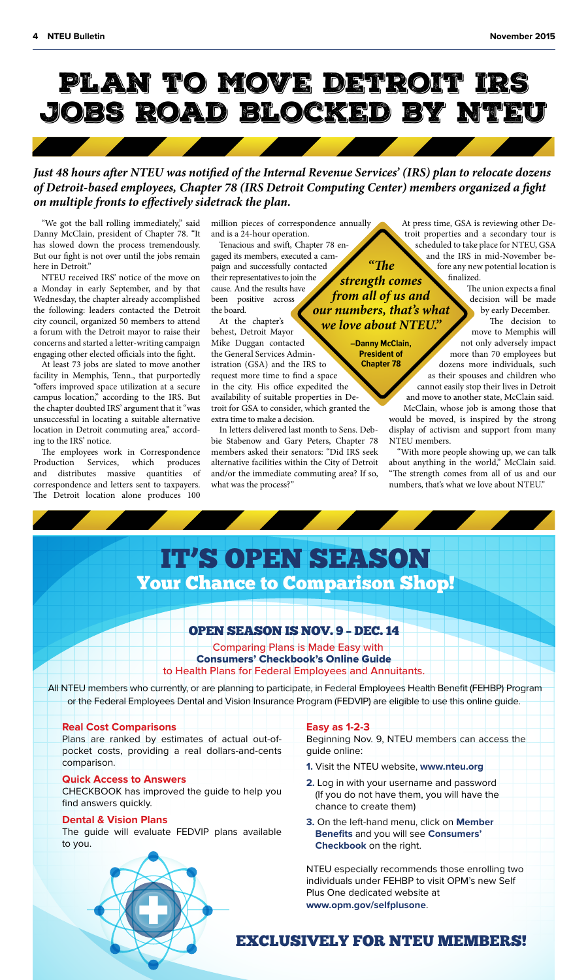

# *Just 48 hours after NTEU was notified of the Internal Revenue Services' (IRS) plan to relocate dozens of Detroit-based employees, Chapter 78 (IRS Detroit Computing Center) members organized a fight on multiple fronts to effectively sidetrack the plan.*

"We got the ball rolling immediately," said Danny McClain, president of Chapter 78. "It has slowed down the process tremendously. But our fight is not over until the jobs remain here in Detroit."

NTEU received IRS' notice of the move on a Monday in early September, and by that Wednesday, the chapter already accomplished the following: leaders contacted the Detroit city council, organized 50 members to attend a forum with the Detroit mayor to raise their concerns and started a letter-writing campaign engaging other elected officials into the fight.

At least 73 jobs are slated to move another facility in Memphis, Tenn., that purportedly "offers improved space utilization at a secure campus location," according to the IRS. But the chapter doubted IRS' argument that it "was unsuccessful in locating a suitable alternative location in Detroit commuting area," according to the IRS' notice.

The employees work in Correspondence Production Services, which produces and distributes massive quantities of correspondence and letters sent to taxpayers. The Detroit location alone produces 100

million pieces of correspondence annually and is a 24-hour operation.

*"e* 

Tenacious and swift, Chapter 78 engaged its members, executed a campaign and successfully contacted their representatives to join the cause. And the results have been positive across the board. *strength comes from all of us and our numbers, that's what* 

At the chapter's behest, Detroit Mayor Mike Duggan contacted the General Services Administration (GSA) and the IRS to request more time to find a space in the city. His office expedited the availability of suitable properties in Detroit for GSA to consider, which granted the extra time to make a decision. *we love about NTEU."* **―Danny McClain, President of Chapter 78**

In letters delivered last month to Sens. Debbie Stabenow and Gary Peters, Chapter 78 members asked their senators: "Did IRS seek alternative facilities within the City of Detroit and/or the immediate commuting area? If so, what was the process?"

At press time, GSA is reviewing other Detroit properties and a secondary tour is scheduled to take place for NTEU, GSA and the IRS in mid-November before any new potential location is finalized.

> The union expects a final decision will be made by early December.

The decision to move to Memphis will not only adversely impact more than 70 employees but dozens more individuals, such as their spouses and children who cannot easily stop their lives in Detroit and move to another state, McClain said.

McClain, whose job is among those that would be moved, is inspired by the strong display of activism and support from many NTEU members.

"With more people showing up, we can talk about anything in the world," McClain said. "The strength comes from all of us and our numbers, that's what we love about NTEU."

# IT'S OPEN SEASON Your Chance to Comparison Shop!

# OPEN SEASON IS NOV. 9 – DEC. 14

Comparing Plans is Made Easy with Consumers' Checkbook's Online Guide to Health Plans for Federal Employees and Annuitants.

 All NTEU members who currently, or are planning to participate, in Federal Employees Health Benefit (FEHBP) Program or the Federal Employees Dental and Vision Insurance Program (FEDVIP) are eligible to use this online guide.

# **Real Cost Comparisons**

Plans are ranked by estimates of actual out-ofpocket costs, providing a real dollars-and-cents comparison.

## **Quick Access to Answers**

CHECKBOOK has improved the guide to help you find answers quickly.

## **Dental & Vision Plans**

The guide will evaluate FEDVIP plans available to you.

#### **Easy as 1-2-3**

Beginning Nov. 9, NTEU members can access the guide online:

- **1.** Visit the NTEU website, **www.nteu.org**
- **2.** Log in with your username and password (If you do not have them, you will have the chance to create them)
- **3.** On the left-hand menu, click on **Member Benefits** and you will see **Consumers' Checkbook** on the right.

NTEU especially recommends those enrolling two individuals under FEHBP to visit OPM's new Self Plus One dedicated website at **www.opm.gov/selfplusone**.

# EXCLUSIVELY FOR NTEU MEMBERS!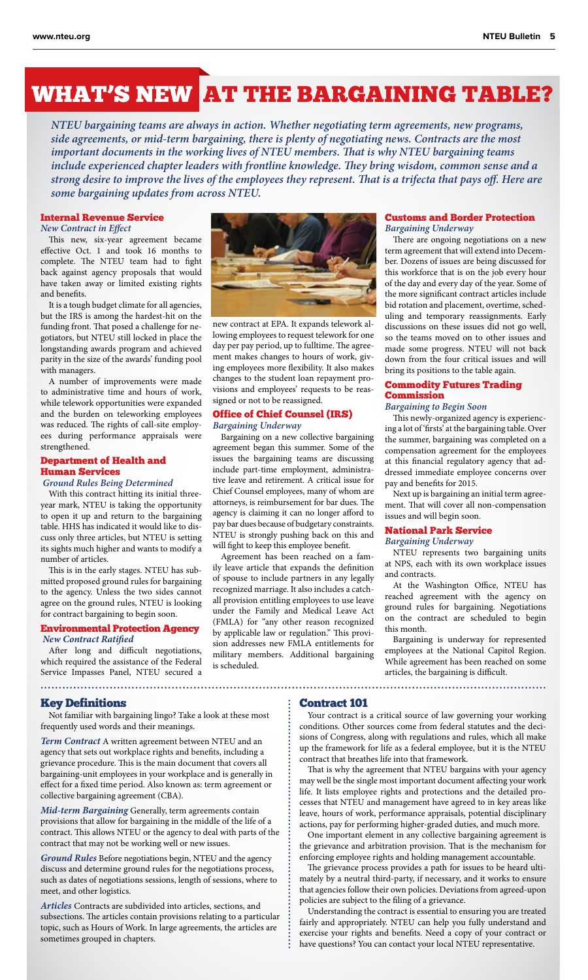# WHAT'S NEWAT THE BARGAINING TABLE?

*NTEU bargaining teams are always in action. Whether negotiating term agreements, new programs, side agreements, or mid-term bargaining, there is plenty of negotiating news. Contracts are the most important documents in the working lives of NTEU members. That is why NTEU bargaining teams include experienced chapter leaders with frontline knowledge. They bring wisdom, common sense and a strong desire to improve the lives of the employees they represent. That is a trifecta that pays off. Here are some bargaining updates from across NTEU.*

## Internal Revenue Service

*New Contract in Effect*

This new, six-year agreement became effective Oct. 1 and took 16 months to complete. The NTEU team had to fight back against agency proposals that would have taken away or limited existing rights and benefits.

It is a tough budget climate for all agencies, but the IRS is among the hardest-hit on the funding front. That posed a challenge for negotiators, but NTEU still locked in place the longstanding awards program and achieved parity in the size of the awards' funding pool with managers.

A number of improvements were made to administrative time and hours of work, while telework opportunities were expanded and the burden on teleworking employees was reduced. The rights of call-site employees during performance appraisals were strengthened.

# Department of Health and Human Services

 *Ground Rules Being Determined*

With this contract hitting its initial threeyear mark, NTEU is taking the opportunity to open it up and return to the bargaining table. HHS has indicated it would like to discuss only three articles, but NTEU is setting its sights much higher and wants to modify a number of articles.

This is in the early stages. NTEU has submitted proposed ground rules for bargaining to the agency. Unless the two sides cannot agree on the ground rules, NTEU is looking for contract bargaining to begin soon.

## Environmental Protection Agency *New Contract Ratified*

After long and difficult negotiations, which required the assistance of the Federal Service Impasses Panel, NTEU secured a



new contract at EPA. It expands telework allowing employees to request telework for one day per pay period, up to fulltime. The agreement makes changes to hours of work, giving employees more flexibility. It also makes changes to the student loan repayment provisions and employees' requests to be reassigned or not to be reassigned.

# Office of Chief Counsel (IRS) *Bargaining Underway*

Bargaining on a new collective bargaining agreement began this summer. Some of the issues the bargaining teams are discussing include part-time employment, administrative leave and retirement. A critical issue for Chief Counsel employees, many of whom are attorneys, is reimbursement for bar dues. The agency is claiming it can no longer afford to pay bar dues because of budgetary constraints. NTEU is strongly pushing back on this and will fight to keep this employee benefit.

Agreement has been reached on a family leave article that expands the definition of spouse to include partners in any legally recognized marriage. It also includes a catchall provision entitling employees to use leave under the Family and Medical Leave Act (FMLA) for "any other reason recognized by applicable law or regulation." This provision addresses new FMLA entitlements for military members. Additional bargaining is scheduled.

# Customs and Border Protection *Bargaining Underway*

There are ongoing negotiations on a new term agreement that will extend into December. Dozens of issues are being discussed for this workforce that is on the job every hour of the day and every day of the year. Some of the more significant contract articles include bid rotation and placement, overtime, scheduling and temporary reassignments. Early discussions on these issues did not go well, so the teams moved on to other issues and made some progress. NTEU will not back down from the four critical issues and will bring its positions to the table again.

# Commodity Futures Trading Commission

*Bargaining to Begin Soon*

This newly-organized agency is experiencing a lot of 'firsts' at the bargaining table. Over the summer, bargaining was completed on a compensation agreement for the employees at this financial regulatory agency that addressed immediate employee concerns over pay and benefits for 2015.

Next up is bargaining an initial term agreement. That will cover all non-compensation issues and will begin soon.

## National Park Service

*Bargaining Underway*

NTEU represents two bargaining units at NPS, each with its own workplace issues and contracts.

At the Washington Office, NTEU has reached agreement with the agency on ground rules for bargaining. Negotiations on the contract are scheduled to begin this month.

Bargaining is underway for represented employees at the National Capitol Region. While agreement has been reached on some articles, the bargaining is difficult.

# Key Definitions

Not familiar with bargaining lingo? Take a look at these most frequently used words and their meanings.

*Term Contract* A written agreement between NTEU and an agency that sets out workplace rights and benefits, including a grievance procedure. This is the main document that covers all bargaining-unit employees in your workplace and is generally in effect for a fixed time period. Also known as: term agreement or collective bargaining agreement (CBA).

*Mid-term Bargaining* Generally, term agreements contain provisions that allow for bargaining in the middle of the life of a contract. This allows NTEU or the agency to deal with parts of the contract that may not be working well or new issues.

*Ground Rules* Before negotiations begin, NTEU and the agency discuss and determine ground rules for the negotiations process, such as dates of negotiations sessions, length of sessions, where to meet, and other logistics.

*Articles* Contracts are subdivided into articles, sections, and subsections. The articles contain provisions relating to a particular topic, such as Hours of Work. In large agreements, the articles are sometimes grouped in chapters.

# Contract 101

Your contract is a critical source of law governing your working conditions. Other sources come from federal statutes and the decisions of Congress, along with regulations and rules, which all make up the framework for life as a federal employee, but it is the NTEU contract that breathes life into that framework.

That is why the agreement that NTEU bargains with your agency may well be the single most important document affecting your work life. It lists employee rights and protections and the detailed processes that NTEU and management have agreed to in key areas like leave, hours of work, performance appraisals, potential disciplinary actions, pay for performing higher-graded duties, and much more.

One important element in any collective bargaining agreement is the grievance and arbitration provision. That is the mechanism for enforcing employee rights and holding management accountable.

The grievance process provides a path for issues to be heard ultimately by a neutral third-party, if necessary, and it works to ensure that agencies follow their own policies. Deviations from agreed-upon policies are subject to the filing of a grievance.

Understanding the contract is essential to ensuring you are treated fairly and appropriately. NTEU can help you fully understand and exercise your rights and benefits. Need a copy of your contract or have questions? You can contact your local NTEU representative.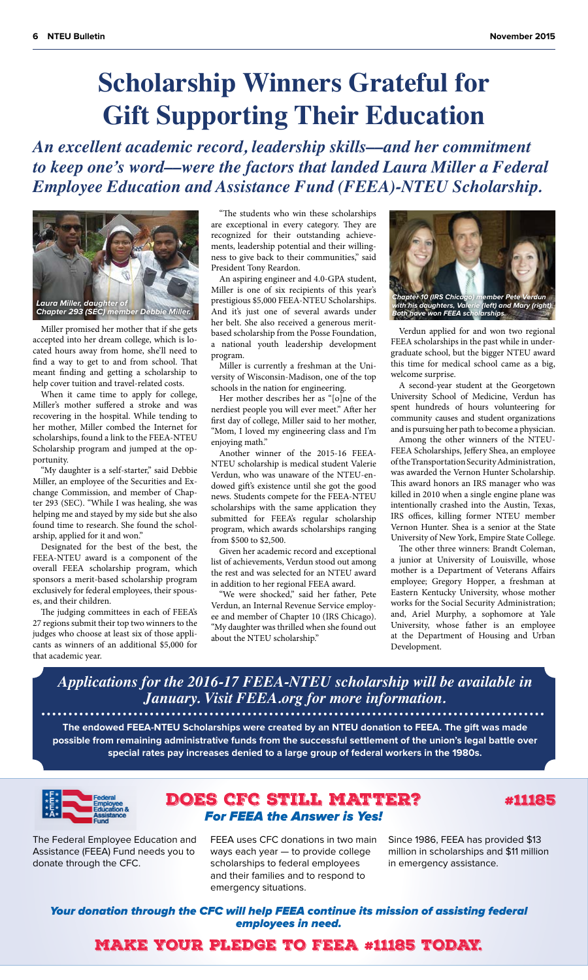# **Scholarship Winners Grateful for Gift Supporting Their Education**

*An excellent academic record, leadership skills––and her commitment to keep one's word––were the factors that landed Laura Miller a Federal Employee Education and Assistance Fund (FEEA)-NTEU Scholarship.*



Miller promised her mother that if she gets accepted into her dream college, which is located hours away from home, she'll need to find a way to get to and from school. That meant finding and getting a scholarship to help cover tuition and travel-related costs.

When it came time to apply for college, Miller's mother suffered a stroke and was recovering in the hospital. While tending to her mother, Miller combed the Internet for scholarships, found a link to the FEEA-NTEU Scholarship program and jumped at the opportunity.

"My daughter is a self-starter," said Debbie Miller, an employee of the Securities and Exchange Commission, and member of Chapter 293 (SEC). "While I was healing, she was helping me and stayed by my side but she also found time to research. She found the scholarship, applied for it and won."

Designated for the best of the best, the FEEA-NTEU award is a component of the overall FEEA scholarship program, which sponsors a merit-based scholarship program exclusively for federal employees, their spouses, and their children.

The judging committees in each of FEEA's 27 regions submit their top two winners to the judges who choose at least six of those applicants as winners of an additional \$5,000 for that academic year.

"The students who win these scholarships are exceptional in every category. They are recognized for their outstanding achievements, leadership potential and their willingness to give back to their communities," said President Tony Reardon.

An aspiring engineer and 4.0-GPA student, Miller is one of six recipients of this year's prestigious \$5,000 FEEA-NTEU Scholarships. And it's just one of several awards under her belt. She also received a generous meritbased scholarship from the Posse Foundation, a national youth leadership development program.

Miller is currently a freshman at the University of Wisconsin-Madison, one of the top schools in the nation for engineering.

Her mother describes her as "[o]ne of the nerdiest people you will ever meet." After her first day of college, Miller said to her mother, "Mom, I loved my engineering class and I'm enjoying math."

Another winner of the 2015-16 FEEA-NTEU scholarship is medical student Valerie Verdun, who was unaware of the NTEU-endowed gift's existence until she got the good news. Students compete for the FEEA-NTEU scholarships with the same application they submitted for FEEA's regular scholarship program, which awards scholarships ranging from \$500 to \$2,500.

Given her academic record and exceptional list of achievements, Verdun stood out among the rest and was selected for an NTEU award in addition to her regional FEEA award.

"We were shocked," said her father, Pete Verdun, an Internal Revenue Service employee and member of Chapter 10 (IRS Chicago). "My daughter was thrilled when she found out about the NTEU scholarship."



Verdun applied for and won two regional FEEA scholarships in the past while in undergraduate school, but the bigger NTEU award this time for medical school came as a big, welcome surprise.

A second-year student at the Georgetown University School of Medicine, Verdun has spent hundreds of hours volunteering for community causes and student organizations and is pursuing her path to become a physician.

Among the other winners of the NTEU-FEEA Scholarships, Jeffery Shea, an employee of the Transportation Security Administration, was awarded the Vernon Hunter Scholarship. This award honors an IRS manager who was killed in 2010 when a single engine plane was intentionally crashed into the Austin, Texas, IRS offices, killing former NTEU member Vernon Hunter. Shea is a senior at the State University of New York, Empire State College.

The other three winners: Brandt Coleman, a junior at University of Louisville, whose mother is a Department of Veterans Affairs employee; Gregory Hopper, a freshman at Eastern Kentucky University, whose mother works for the Social Security Administration; and, Ariel Murphy, a sophomore at Yale University, whose father is an employee at the Department of Housing and Urban Development.

*Applications for the 2016-17 FEEA-NTEU scholarship will be available in January. Visit FEEA.org for more information.*

**The endowed FEEA-NTEU Scholarships were created by an NTEU donation to FEEA. The gift was made possible from remaining administrative funds from the successful settlement of the union's legal battle over special rates pay increases denied to a large group of federal workers in the 1980s.**



# DOES CFC STILL MATTER? *For FEEA the Answer is Yes!*



The Federal Employee Education and Assistance (FEEA) Fund needs you to donate through the CFC.

FEEA uses CFC donations in two main ways each year — to provide college scholarships to federal employees and their families and to respond to emergency situations.

Since 1986, FEEA has provided \$13 million in scholarships and \$11 million in emergency assistance.

*Your donation through the CFC will help FEEA continue its mission of assisting federal employees in need.* 

# MAKE YOUR PLEDGE TO FEEA #11185 TODAY.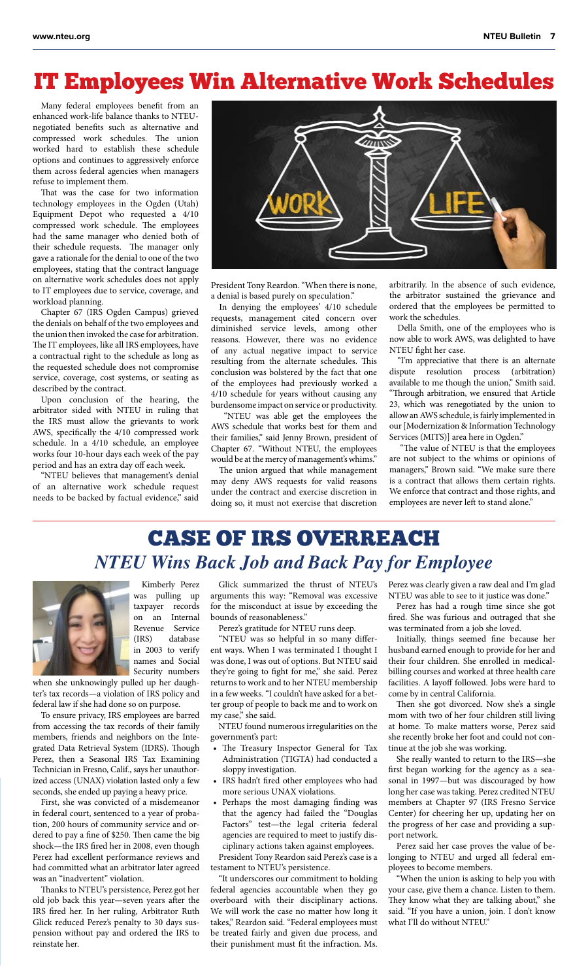# IT Employees Win Alternative Work Schedules

Many federal employees benefit from an enhanced work-life balance thanks to NTEUnegotiated benefits such as alternative and compressed work schedules. The union worked hard to establish these schedule options and continues to aggressively enforce them across federal agencies when managers refuse to implement them.

That was the case for two information technology employees in the Ogden (Utah) Equipment Depot who requested a 4/10 compressed work schedule. The employees had the same manager who denied both of their schedule requests. The manager only gave a rationale for the denial to one of the two employees, stating that the contract language on alternative work schedules does not apply to IT employees due to service, coverage, and workload planning.

Chapter 67 (IRS Ogden Campus) grieved the denials on behalf of the two employees and the union then invoked the case for arbitration. The IT employees, like all IRS employees, have a contractual right to the schedule as long as the requested schedule does not compromise service, coverage, cost systems, or seating as described by the contract.

Upon conclusion of the hearing, the arbitrator sided with NTEU in ruling that the IRS must allow the grievants to work AWS, specifically the 4/10 compressed work schedule. In a 4/10 schedule, an employee works four 10-hour days each week of the pay period and has an extra day off each week.

"NTEU believes that management's denial of an alternative work schedule request needs to be backed by factual evidence," said



President Tony Reardon. "When there is none, a denial is based purely on speculation."

In denying the employees' 4/10 schedule requests, management cited concern over diminished service levels, among other reasons. However, there was no evidence of any actual negative impact to service resulting from the alternate schedules. This conclusion was bolstered by the fact that one of the employees had previously worked a 4/10 schedule for years without causing any burdensome impact on service or productivity.

 "NTEU was able get the employees the AWS schedule that works best for them and their families," said Jenny Brown, president of Chapter 67. "Without NTEU, the employees would be at the mercy of management's whims."

The union argued that while management may deny AWS requests for valid reasons under the contract and exercise discretion in doing so, it must not exercise that discretion arbitrarily. In the absence of such evidence, the arbitrator sustained the grievance and ordered that the employees be permitted to work the schedules.

Della Smith, one of the employees who is now able to work AWS, was delighted to have NTEU fight her case.

"I'm appreciative that there is an alternate dispute resolution process (arbitration) available to me though the union," Smith said. "Through arbitration, we ensured that Article 23, which was renegotiated by the union to allow an AWS schedule, is fairly implemented in our [Modernization & Information Technology Services (MITS)] area here in Ogden."

 "The value of NTEU is that the employees are not subject to the whims or opinions of managers," Brown said. "We make sure there is a contract that allows them certain rights. We enforce that contract and those rights, and employees are never left to stand alone."

# CASE OF IRS OVERREACH *NTEU Wins Back Job and Back Pay for Employee*



Kimberly Perez was pulling up taxpayer records on an Internal Revenue Service (IRS) database in 2003 to verify names and Social Security numbers

when she unknowingly pulled up her daughter's tax records—a violation of IRS policy and federal law if she had done so on purpose.

To ensure privacy, IRS employees are barred from accessing the tax records of their family members, friends and neighbors on the Integrated Data Retrieval System (IDRS). Though Perez, then a Seasonal IRS Tax Examining Technician in Fresno, Calif., says her unauthorized access (UNAX) violation lasted only a few seconds, she ended up paying a heavy price.

First, she was convicted of a misdemeanor in federal court, sentenced to a year of probation, 200 hours of community service and ordered to pay a fine of \$250. Then came the big shock—the IRS fired her in 2008, even though Perez had excellent performance reviews and had committed what an arbitrator later agreed was an "inadvertent" violation.

Thanks to NTEU's persistence, Perez got her old job back this year—seven years after the IRS fired her. In her ruling, Arbitrator Ruth Glick reduced Perez's penalty to 30 days suspension without pay and ordered the IRS to reinstate her.

Glick summarized the thrust of NTEU's arguments this way: "Removal was excessive for the misconduct at issue by exceeding the bounds of reasonableness."

Perez's gratitude for NTEU runs deep.

"NTEU was so helpful in so many different ways. When I was terminated I thought I was done, I was out of options. But NTEU said they're going to fight for me," she said. Perez returns to work and to her NTEU membership in a few weeks. "I couldn't have asked for a better group of people to back me and to work on my case," she said.

NTEU found numerous irregularities on the government's part:

- The Treasury Inspector General for Tax Administration (TIGTA) had conducted a sloppy investigation.
- IRS hadn't fired other employees who had more serious UNAX violations.
- Perhaps the most damaging finding was that the agency had failed the "Douglas Factors" test—the legal criteria federal agencies are required to meet to justify disciplinary actions taken against employees. President Tony Reardon said Perez's case is a

testament to NTEU's persistence.

"It underscores our commitment to holding federal agencies accountable when they go overboard with their disciplinary actions. We will work the case no matter how long it takes," Reardon said. "Federal employees must be treated fairly and given due process, and their punishment must fit the infraction. Ms.

Perez was clearly given a raw deal and I'm glad NTEU was able to see to it justice was done."

Perez has had a rough time since she got fired. She was furious and outraged that she was terminated from a job she loved.

Initially, things seemed fine because her husband earned enough to provide for her and their four children. She enrolled in medicalbilling courses and worked at three health care facilities. A layoff followed. Jobs were hard to come by in central California.

Then she got divorced. Now she's a single mom with two of her four children still living at home. To make matters worse, Perez said she recently broke her foot and could not continue at the job she was working.

She really wanted to return to the IRS—she first began working for the agency as a seasonal in 1997—but was discouraged by how long her case was taking. Perez credited NTEU members at Chapter 97 (IRS Fresno Service Center) for cheering her up, updating her on the progress of her case and providing a support network.

Perez said her case proves the value of belonging to NTEU and urged all federal employees to become members.

"When the union is asking to help you with your case, give them a chance. Listen to them. They know what they are talking about," she said. "If you have a union, join. I don't know what I'll do without NTEU."